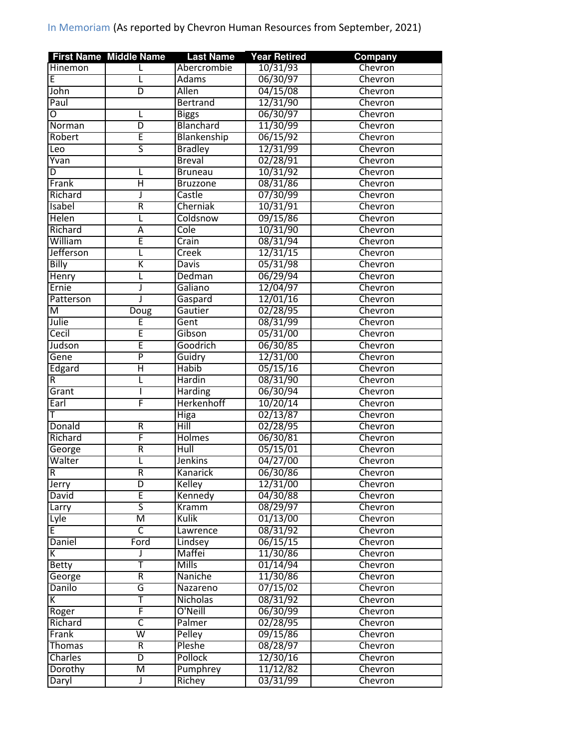|                         | <b>First Name Middle Name</b> | <b>Last Name</b> | <b>Year Retired</b> | Company |
|-------------------------|-------------------------------|------------------|---------------------|---------|
| Hinemon                 | L                             | Abercrombie      | 10/31/93            | Chevron |
| E                       | L                             | <b>Adams</b>     | 06/30/97            | Chevron |
| John                    | $\overline{D}$                | <b>Allen</b>     | 04/15/08            | Chevron |
| Paul                    |                               | <b>Bertrand</b>  | 12/31/90            | Chevron |
| Ο                       | L                             | <b>Biggs</b>     | 06/30/97            | Chevron |
| Norman                  | D                             | Blanchard        | 11/30/99            | Chevron |
| Robert                  | Ē                             | Blankenship      | 06/15/92            | Chevron |
| Leo                     | 5                             | <b>Bradley</b>   | 12/31/99            | Chevron |
| Yvan                    |                               | <b>Breval</b>    | 02/28/91            | Chevron |
| D                       | L                             | <b>Bruneau</b>   | 10/31/92            | Chevron |
| Frank                   | Ή                             | <b>Bruzzone</b>  | 08/31/86            | Chevron |
| Richard                 | J                             | Castle           | 07/30/99            | Chevron |
| Isabel                  | $\overline{\mathsf{R}}$       | Cherniak         | 10/31/91            | Chevron |
| <b>Helen</b>            | L                             | Coldsnow         | 09/15/86            | Chevron |
| Richard                 | Α                             | Cole             | 10/31/90            | Chevron |
| William                 | Ē                             | Crain            | 08/31/94            | Chevron |
| Jefferson               | L                             | Creek            | 12/31/15            | Chevron |
| <b>Billy</b>            | K                             | <b>Davis</b>     | 05/31/98            | Chevron |
| Henry                   | L                             | Dedman           | 06/29/94            | Chevron |
| Ernie                   | J                             | Galiano          | 12/04/97            | Chevron |
| Patterson               | J                             | Gaspard          | 12/01/16            | Chevron |
| M                       | Doug                          | Gautier          | 02/28/95            | Chevron |
| Julie                   | Ē                             | Gent             | 08/31/99            |         |
|                         | Ē                             |                  |                     | Chevron |
| Cecil                   |                               | Gibson           | 05/31/00            | Chevron |
| Judson                  | Ē                             | Goodrich         | 06/30/85            | Chevron |
| Gene                    | $\overline{\mathsf{P}}$       | Guidry           | 12/31/00            | Chevron |
| Edgard                  | $\overline{\mathsf{H}}$       | <b>Habib</b>     | 05/15/16            | Chevron |
| R                       | L                             | Hardin           | 08/31/90            | Chevron |
| Grant                   | I                             | <b>Harding</b>   | 06/30/94            | Chevron |
| Earl                    | F                             | Herkenhoff       | 10/20/14            | Chevron |
|                         |                               | Higa             | 02/13/87            | Chevron |
| Donald                  | $\overline{\mathsf{R}}$       | Hill             | 02/28/95            | Chevron |
| Richard                 | F                             | <b>Holmes</b>    | 06/30/81            | Chevron |
| George                  | R                             | Hull             | 05/15/01            | Chevron |
| Walter                  | L                             | <b>Jenkins</b>   | 04/27/00            | Chevron |
| $\overline{\mathsf{R}}$ | R                             | <b>Kanarick</b>  | 06/30/86            | Chevron |
| Jerry                   | D                             | Kelley           | 12/31/00            | Chevron |
| David                   | E                             | Kennedy          | 04/30/88            | Chevron |
| Larry                   | 5                             | Kramm            | 08/29/97            | Chevron |
| Lyle                    | $\overline{\mathsf{M}}$       | Kulik            | 01/13/00            | Chevron |
| E                       | $\overline{\mathsf{C}}$       | Lawrence         | 08/31/92            | Chevron |
| Daniel                  | Ford                          | Lindsey          | 06/15/15            | Chevron |
| K                       | J                             | Maffei           | 11/30/86            | Chevron |
| <b>Betty</b>            | Ŧ                             | <b>Mills</b>     | 01/14/94            | Chevron |
| George                  | R                             | Naniche          | 11/30/86            | Chevron |
| Danilo                  | G                             | Nazareno         | 07/15/02            | Chevron |
| К                       | T                             | <b>Nicholas</b>  | 08/31/92            | Chevron |
| Roger                   | F                             | O'Neill          | 06/30/99            | Chevron |
| Richard                 | $\overline{\mathsf{c}}$       | Palmer           | 02/28/95            | Chevron |
| Frank                   | $\overline{\mathsf{w}}$       | <b>Pelley</b>    | 09/15/86            | Chevron |
| Thomas                  | $\overline{R}$                | Pleshe           | 08/28/97            | Chevron |
| Charles                 | $\overline{D}$                | Pollock          | 12/30/16            | Chevron |
| Dorothy                 | M                             | Pumphrey         | 11/12/82            | Chevron |
| Daryl                   | J                             | Richey           | 03/31/99            | Chevron |
|                         |                               |                  |                     |         |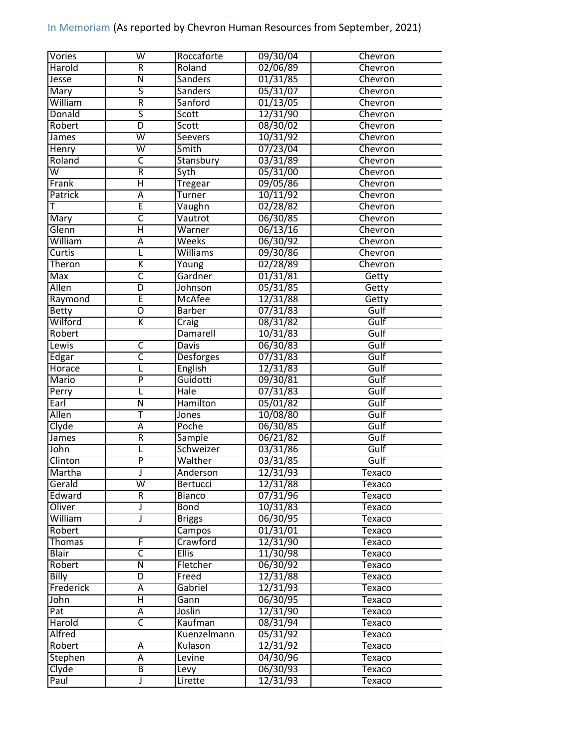| <b>Vories</b>           | W                       | Roccaforte       | 09/30/04 | Chevron |
|-------------------------|-------------------------|------------------|----------|---------|
| Harold                  | $\overline{\mathsf{R}}$ | Roland           | 02/06/89 | Chevron |
| Jesse                   | $\overline{\mathsf{N}}$ | <b>Sanders</b>   | 01/31/85 | Chevron |
| Mary                    | ς                       | <b>Sanders</b>   | 05/31/07 | Chevron |
| William                 | $\overline{\mathsf{R}}$ | Sanford          | 01/13/05 | Chevron |
| Donald                  | $\overline{\mathsf{s}}$ | Scott            | 12/31/90 | Chevron |
| Robert                  | D                       | Scott            | 08/30/02 | Chevron |
| James                   | $\overline{\mathsf{w}}$ | Seevers          | 10/31/92 | Chevron |
| Henry                   | $\overline{\mathsf{w}}$ | Smith            | 07/23/04 | Chevron |
| Roland                  | C                       | Stansbury        | 03/31/89 | Chevron |
| $\overline{\mathsf{W}}$ | $\overline{\mathsf{R}}$ | Syth             | 05/31/00 | Chevron |
| Frank                   | Ή                       | <b>Tregear</b>   | 09/05/86 | Chevron |
| Patrick                 | $\overline{A}$          | Turner           | 10/11/92 | Chevron |
| т                       | Ē                       | Vaughn           | 02/28/82 | Chevron |
| Mary                    | $\overline{\mathsf{c}}$ | Vautrot          | 06/30/85 | Chevron |
| Glenn                   | $\overline{\mathsf{H}}$ | Warner           | 06/13/16 | Chevron |
| William                 | $\overline{A}$          | Weeks            | 06/30/92 | Chevron |
| Curtis                  | L                       | <b>Williams</b>  | 09/30/86 | Chevron |
| Theron                  | K                       | Young            | 02/28/89 | Chevron |
| <b>Max</b>              | $\overline{\mathsf{C}}$ | Gardner          | 01/31/81 | Getty   |
| Allen                   | D                       | Johnson          | 05/31/85 | Getty   |
| Raymond                 | Ē                       | <b>McAfee</b>    | 12/31/88 | Getty   |
| <b>Betty</b>            | Ō                       | <b>Barber</b>    | 07/31/83 | Gulf    |
| Wilford                 | $\overline{\mathsf{K}}$ |                  | 08/31/82 | Gulf    |
|                         |                         | Craig            |          |         |
| Robert                  |                         | Damarell         | 10/31/83 | Gulf    |
| Lewis                   | C                       | <b>Davis</b>     | 06/30/83 | Gulf    |
| Edgar                   | $\overline{\mathsf{C}}$ | <b>Desforges</b> | 07/31/83 | Gulf    |
| Horace                  | L                       | English          | 12/31/83 | Gulf    |
| <b>Mario</b>            | $\overline{\mathsf{P}}$ | Guidotti         | 09/30/81 | Gulf    |
| Perry                   | L                       | Hale             | 07/31/83 | Gulf    |
| Earl                    | $\overline{\mathsf{N}}$ | <b>Hamilton</b>  | 05/01/82 | Gulf    |
| Allen                   | Т                       | <b>Jones</b>     | 10/08/80 | Gulf    |
| Clyde                   | Ā                       | Poche            | 06/30/85 | Gulf    |
| <b>James</b>            | R                       | Sample           | 06/21/82 | Gulf    |
| John                    | L                       | Schweizer        | 03/31/86 | Gulf    |
| Clinton                 | $\overline{\mathsf{P}}$ | Walther          | 03/31/85 | Gulf    |
| <b>Martha</b>           |                         | Anderson         | 12/31/93 | Texaco  |
| Gerald                  | W                       | Bertucci         | 12/31/88 | Texaco  |
| Edward                  | $\overline{R}$          | <b>Bianco</b>    | 07/31/96 | Texaco  |
| Oliver                  | J                       | <b>Bond</b>      | 10/31/83 | Texaco  |
| William                 | J                       | <b>Briggs</b>    | 06/30/95 | Texaco  |
| Robert                  |                         | Campos           | 01/31/01 | Texaco  |
| Thomas                  | F                       | Crawford         | 12/31/90 | Texaco  |
| <b>Blair</b>            | $\overline{\mathsf{c}}$ | <b>Ellis</b>     | 11/30/98 | Texaco  |
| Robert                  | Ñ                       | Fletcher         | 06/30/92 | Texaco  |
| Billy                   | D                       | Freed            | 12/31/88 | Texaco  |
| Frederick               | Α                       | Gabriel          | 12/31/93 | Texaco  |
| John                    | Η                       | Gann             | 06/30/95 | Texaco  |
| Pat                     | А                       | Joslin           | 12/31/90 | Texaco  |
| Harold                  | $\overline{\mathsf{C}}$ | Kaufman          | 08/31/94 | Texaco  |
| Alfred                  |                         | Kuenzelmann      | 05/31/92 | Texaco  |
| Robert                  | Α                       | Kulason          | 12/31/92 | Texaco  |
| <b>Stephen</b>          | Α                       | Levine           | 04/30/96 | Texaco  |
| Clyde                   | В                       | Levy             | 06/30/93 | Texaco  |
| Paul                    | J                       | Lirette          | 12/31/93 | Texaco  |
|                         |                         |                  |          |         |